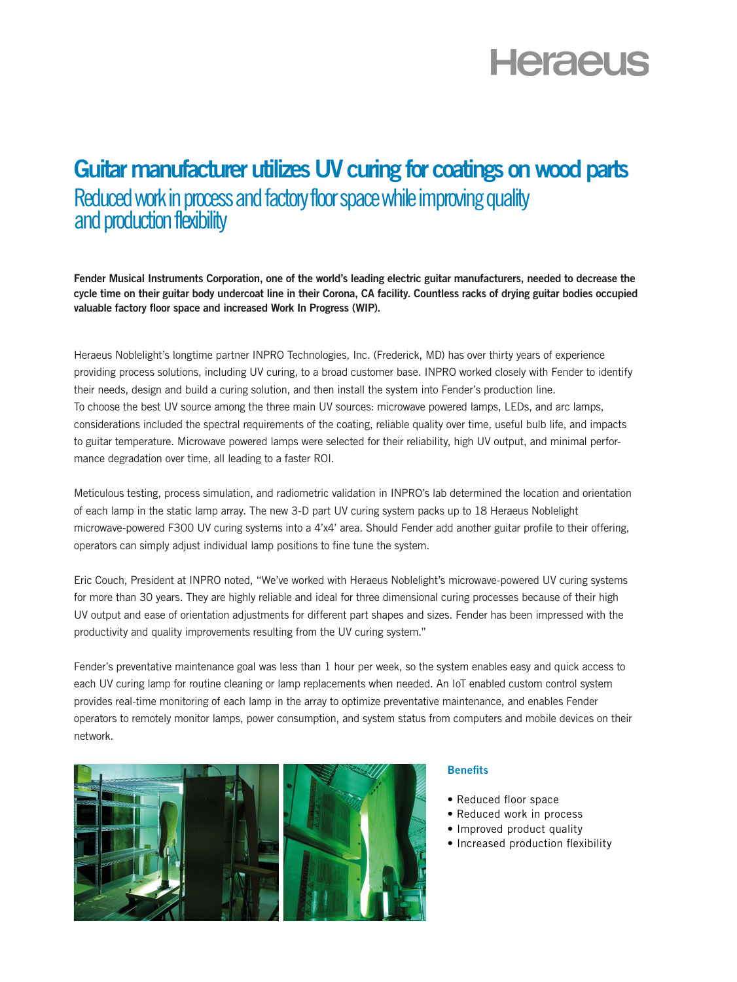# **Heraeus**

## Guitar manufacturer utilizes UV curing for coatings on wood parts Reduced work in process and factory floor space while improving quality and production flexibility

Fender Musical Instruments Corporation, one of the world's leading electric guitar manufacturers, needed to decrease the cycle time on their guitar body undercoat line in their Corona, CA facility. Countless racks of drying guitar bodies occupied valuable factory floor space and increased Work In Progress (WIP).

Heraeus Noblelight's longtime partner INPRO Technologies, Inc. (Frederick, MD) has over thirty years of experience providing process solutions, including UV curing, to a broad customer base. INPRO worked closely with Fender to identify their needs, design and build a curing solution, and then install the system into Fender's production line. To choose the best UV source among the three main UV sources: microwave powered lamps, LEDs, and arc lamps, considerations included the spectral requirements of the coating, reliable quality over time, useful bulb life, and impacts to guitar temperature. Microwave powered lamps were selected for their reliability, high UV output, and minimal performance degradation over time, all leading to a faster ROI.

Meticulous testing, process simulation, and radiometric validation in INPRO's lab determined the location and orientation of each lamp in the static lamp array. The new 3-D part UV curing system packs up to 18 Heraeus Noblelight microwave-powered F300 UV curing systems into a 4'x4' area. Should Fender add another guitar profile to their offering, operators can simply adjust individual lamp positions to fine tune the system.

Eric Couch, President at INPRO noted, "We've worked with Heraeus Noblelight's microwave-powered UV curing systems for more than 30 years. They are highly reliable and ideal for three dimensional curing processes because of their high UV output and ease of orientation adjustments for different part shapes and sizes. Fender has been impressed with the productivity and quality improvements resulting from the UV curing system."

Fender's preventative maintenance goal was less than 1 hour per week, so the system enables easy and quick access to each UV curing lamp for routine cleaning or lamp replacements when needed. An IoT enabled custom control system provides real-time monitoring of each lamp in the array to optimize preventative maintenance, and enables Fender operators to remotely monitor lamps, power consumption, and system status from computers and mobile devices on their network.



#### **Benefits**

- Reduced floor space
- Reduced work in process
- Improved product quality
- Increased production flexibility